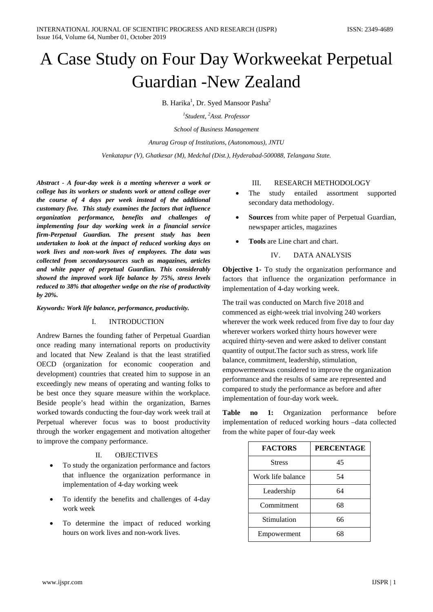# A Case Study on Four Day Workweekat Perpetual Guardian -New Zealand

B. Harika<sup>1</sup>, Dr. Syed Mansoor Pasha<sup>2</sup>

*1 Student, <sup>2</sup> Asst. Professor*

*School of Business Management*

*Anurag Group of Institutions, (Autonomous), JNTU*

*Venkatapur (V), Ghatkesar (M), Medchal (Dist.), Hyderabad-500088, Telangana State.*

*Abstract - A four-day week is a meeting wherever a work or college has its workers or students work or attend college over the course of 4 days per week instead of the additional customary five. This study examines the factors that influence organization performance, benefits and challenges of implementing four day working week in a financial service firm-Perpetual Guardian. The present study has been undertaken to look at the impact of reduced working days on work lives and non-work lives of employees. The data was collected from secondarysources such as magazines, articles and white paper of perpetual Guardian. This considerably showed the improved work life balance by 75%, stress levels reduced to 38% that altogether wedge on the rise of productivity by 20%.*

*Keywords: Work life balance, performance, productivity.*

## I. INTRODUCTION

Andrew Barnes the founding father of Perpetual Guardian once reading many international reports on productivity and located that New Zealand is that the least stratified OECD (organization for economic cooperation and development) countries that created him to suppose in an exceedingly new means of operating and wanting folks to be best once they square measure within the workplace. Beside people's head within the organization, Barnes worked towards conducting the four-day work week trail at Perpetual wherever focus was to boost productivity through the worker engagement and motivation altogether to improve the company performance.

## II. OBJECTIVES

- To study the organization performance and factors that influence the organization performance in implementation of 4-day working week
- To identify the benefits and challenges of 4-day work week
- To determine the impact of reduced working hours on work lives and non-work lives.

## III. RESEARCH METHODOLOGY

- The study entailed assortment supported secondary data methodology.
- **Sources** from white paper of Perpetual Guardian, newspaper articles, magazines
- **Tools** are Line chart and chart.
	- IV. DATA ANALYSIS

**Objective 1-** To study the organization performance and factors that influence the organization performance in implementation of 4-day working week.

The trail was conducted on March five 2018 and commenced as eight-week trial involving 240 workers wherever the work week reduced from five day to four day wherever workers worked thirty hours however were acquired thirty-seven and were asked to deliver constant quantity of output.The factor such as stress, work life balance, commitment, leadership, stimulation, empowermentwas considered to improve the organization performance and the results of same are represented and compared to study the performance as before and after implementation of four-day work week.

**Table no 1:** Organization performance before implementation of reduced working hours –data collected from the white paper of four-day week

| <b>FACTORS</b>    | <b>PERCENTAGE</b> |
|-------------------|-------------------|
| <b>Stress</b>     | 45                |
| Work life balance | 54                |
| Leadership        | 64                |
| Commitment        | 68                |
| Stimulation       | 66                |
| Empowerment       |                   |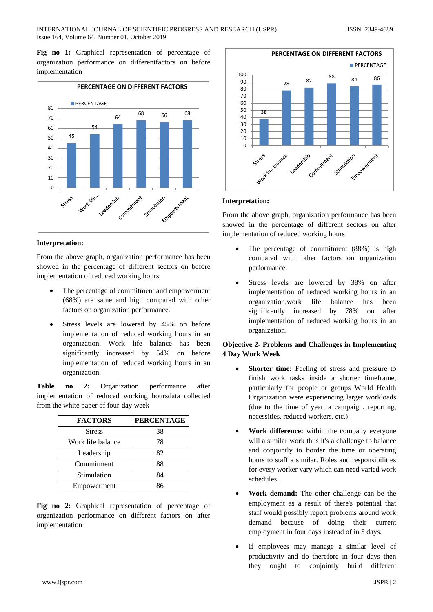Fig no 1: Graphical representation of percentage of organization performance on differentfactors on before implementation



## **Interpretation:**

From the above graph, organization performance has been showed in the percentage of different sectors on before implementation of reduced working hours

- The percentage of commitment and empowerment (68%) are same and high compared with other factors on organization performance.
- Stress levels are lowered by 45% on before implementation of reduced working hours in an organization. Work life balance has been significantly increased by 54% on before implementation of reduced working hours in an organization.

**Table no 2:** Organization performance after implementation of reduced working hoursdata collected from the white paper of four-day week

| <b>FACTORS</b>    | <b>PERCENTAGE</b> |
|-------------------|-------------------|
| <b>Stress</b>     | 38                |
| Work life balance | 78                |
| Leadership        | 82                |
| Commitment        | 88                |
| Stimulation       | 84                |
| Empowerment       | ጸና                |

**Fig no 2:** Graphical representation of percentage of organization performance on different factors on after implementation



### **Interpretation:**

From the above graph, organization performance has been showed in the percentage of different sectors on after implementation of reduced working hours

- The percentage of commitment (88%) is high compared with other factors on organization performance.
- Stress levels are lowered by 38% on after implementation of reduced working hours in an organization,work life balance has been significantly increased by 78% on after implementation of reduced working hours in an organization.

## **Objective 2- Problems and Challenges in Implementing 4 Day Work Week**

- Shorter time: Feeling of stress and pressure to finish work tasks inside a shorter timeframe, particularly for people or groups World Health Organization were experiencing larger workloads (due to the time of year, a campaign, reporting, necessities, reduced workers, etc.)
- **Work difference:** within the company everyone will a similar work thus it's a challenge to balance and conjointly to border the time or operating hours to staff a similar. Roles and responsibilities for every worker vary which can need varied work schedules.
- **Work demand:** The other challenge can be the employment as a result of there's potential that staff would possibly report problems around work demand because of doing their current employment in four days instead of in 5 days.
- If employees may manage a similar level of productivity and do therefore in four days then they ought to conjointly build different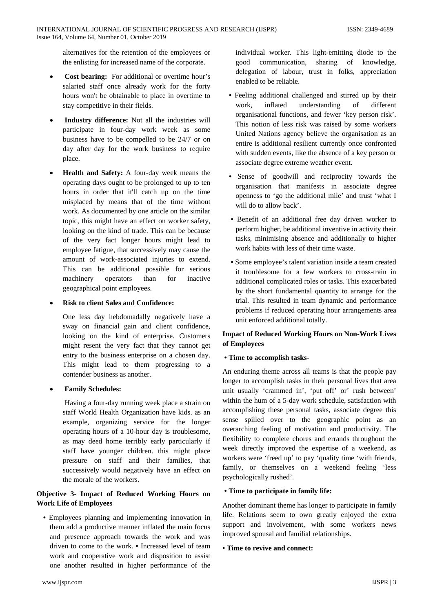alternatives for the retention of the employees or the enlisting for increased name of the corporate.

- **Cost bearing:** For additional or overtime hour's salaried staff once already work for the forty hours won't be obtainable to place in overtime to stay competitive in their fields.
- **Industry difference:** Not all the industries will participate in four-day work week as some business have to be compelled to be 24/7 or on day after day for the work business to require place.
- **Health and Safety:** A four-day week means the operating days ought to be prolonged to up to ten hours in order that it'll catch up on the time misplaced by means that of the time without work. As documented by one article on the similar topic, this might have an effect on worker safety, looking on the kind of trade. This can be because of the very fact longer hours might lead to employee fatigue, that successively may cause the amount of work-associated injuries to extend. This can be additional possible for serious machinery operators than for inactive geographical point employees.
- **Risk to client Sales and Confidence:**

One less day hebdomadally negatively have a sway on financial gain and client confidence, looking on the kind of enterprise. Customers might resent the very fact that they cannot get entry to the business enterprise on a chosen day. This might lead to them progressing to a contender business as another.

• **Family Schedules:**

Having a four-day running week place a strain on staff World Health Organization have kids. as an example, organizing service for the longer operating hours of a 10-hour day is troublesome, as may deed home terribly early particularly if staff have younger children. this might place pressure on staff and their families, that successively would negatively have an effect on the morale of the workers.

# **Objective 3- Impact of Reduced Working Hours on Work Life of Employees**

**•** Employees planning and implementing innovation in them add a productive manner inflated the main focus and presence approach towards the work and was driven to come to the work. **•** Increased level of team work and cooperative work and disposition to assist one another resulted in higher performance of the

individual worker. This light-emitting diode to the good communication, sharing of knowledge, delegation of labour, trust in folks, appreciation enabled to be reliable.

- **•** Feeling additional challenged and stirred up by their work, inflated understanding of different organisational functions, and fewer 'key person risk'. This notion of less risk was raised by some workers United Nations agency believe the organisation as an entire is additional resilient currently once confronted with sudden events, like the absence of a key person or associate degree extreme weather event.
- **•** Sense of goodwill and reciprocity towards the organisation that manifests in associate degree openness to 'go the additional mile' and trust 'what I will do to allow back'.
- **•** Benefit of an additional free day driven worker to perform higher, be additional inventive in activity their tasks, minimising absence and additionally to higher work habits with less of their time waste.
- **•** Some employee's talent variation inside a team created it troublesome for a few workers to cross-train in additional complicated roles or tasks. This exacerbated by the short fundamental quantity to arrange for the trial. This resulted in team dynamic and performance problems if reduced operating hour arrangements area unit enforced additional totally.

# **Impact of Reduced Working Hours on Non-Work Lives of Employees**

# **• Time to accomplish tasks-**

An enduring theme across all teams is that the people pay longer to accomplish tasks in their personal lives that area unit usually 'crammed in', 'put off' or' rush between' within the hum of a 5-day work schedule, satisfaction with accomplishing these personal tasks, associate degree this sense spilled over to the geographic point as an overarching feeling of motivation and productivity. The flexibility to complete chores and errands throughout the week directly improved the expertise of a weekend, as workers were 'freed up' to pay 'quality time 'with friends, family, or themselves on a weekend feeling 'less psychologically rushed'.

# **• Time to participate in family life:**

Another dominant theme has longer to participate in family life. Relations seem to own greatly enjoyed the extra support and involvement, with some workers news improved spousal and familial relationships.

## **• Time to revive and connect:**